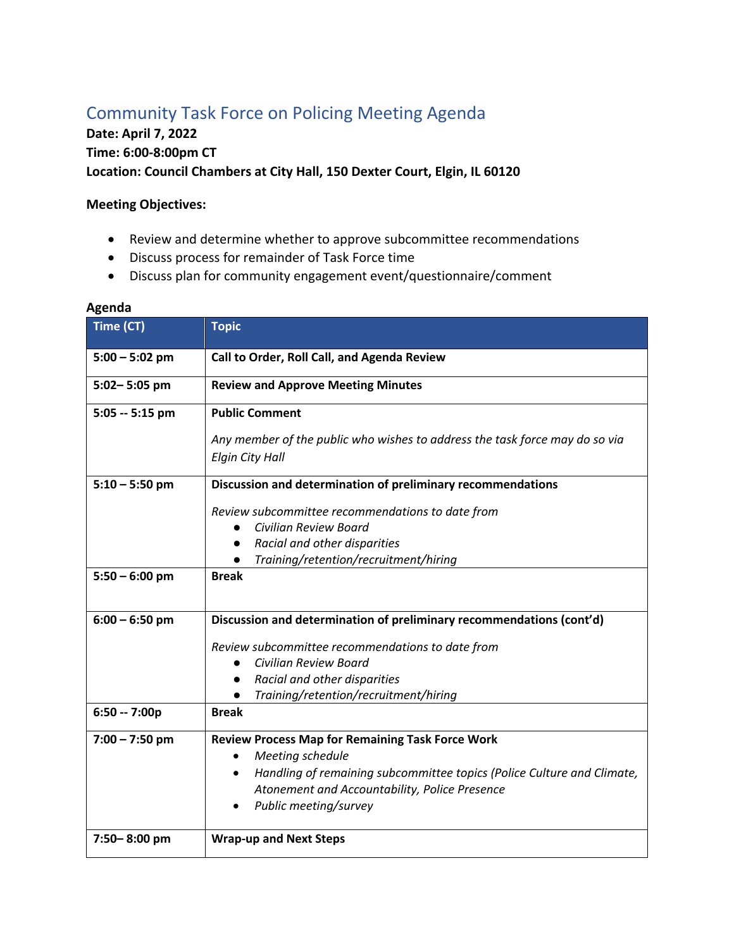## Community Task Force on Policing Meeting Agenda

## **Date: April 7, 2022 Time: 6:00-8:00pm CT Location: Council Chambers at City Hall, 150 Dexter Court, Elgin, IL 60120**

## **Meeting Objectives:**

- Review and determine whether to approve subcommittee recommendations
- Discuss process for remainder of Task Force time
- Discuss plan for community engagement event/questionnaire/comment

| Time (CT)        | <b>Topic</b>                                                                                                                                                                                                                                 |
|------------------|----------------------------------------------------------------------------------------------------------------------------------------------------------------------------------------------------------------------------------------------|
| $5:00 - 5:02$ pm | Call to Order, Roll Call, and Agenda Review                                                                                                                                                                                                  |
| 5:02-5:05 pm     | <b>Review and Approve Meeting Minutes</b>                                                                                                                                                                                                    |
| $5:05 - 5:15$ pm | <b>Public Comment</b>                                                                                                                                                                                                                        |
|                  | Any member of the public who wishes to address the task force may do so via<br><b>Elgin City Hall</b>                                                                                                                                        |
| $5:10 - 5:50$ pm | Discussion and determination of preliminary recommendations                                                                                                                                                                                  |
|                  | Review subcommittee recommendations to date from<br>Civilian Review Board<br>Racial and other disparities<br>$\bullet$<br>Training/retention/recruitment/hiring                                                                              |
| $5:50 - 6:00$ pm | <b>Break</b>                                                                                                                                                                                                                                 |
| $6:00 - 6:50$ pm | Discussion and determination of preliminary recommendations (cont'd)                                                                                                                                                                         |
|                  | Review subcommittee recommendations to date from<br>Civilian Review Board<br>Racial and other disparities<br>$\bullet$<br>Training/retention/recruitment/hiring<br>$\bullet$                                                                 |
| $6:50 - 7:00p$   | <b>Break</b>                                                                                                                                                                                                                                 |
| $7:00 - 7:50$ pm | <b>Review Process Map for Remaining Task Force Work</b><br>Meeting schedule<br>Handling of remaining subcommittee topics (Police Culture and Climate,<br>$\bullet$<br>Atonement and Accountability, Police Presence<br>Public meeting/survey |
| 7:50-8:00 pm     | <b>Wrap-up and Next Steps</b>                                                                                                                                                                                                                |

## **Agenda**